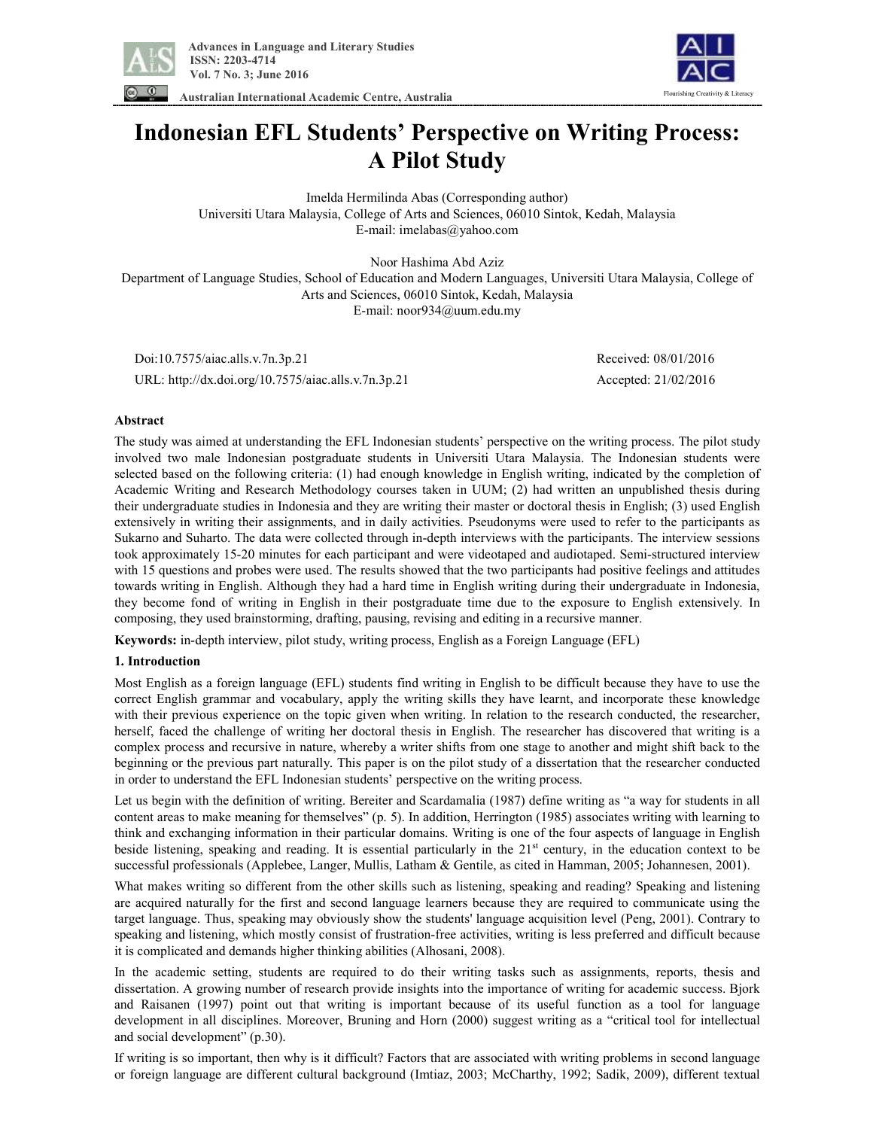

ing Creativity & Literacy

**Australian International Academic Centre, Australia** 

# **Indonesian EFL Students' Perspective on Writing Process: A Pilot Study**

Imelda Hermilinda Abas (Corresponding author) Universiti Utara Malaysia, College of Arts and Sciences, 06010 Sintok, Kedah, Malaysia E-mail: imelabas@yahoo.com

Noor Hashima Abd Aziz Department of Language Studies, School of Education and Modern Languages, Universiti Utara Malaysia, College of Arts and Sciences, 06010 Sintok, Kedah, Malaysia E-mail: noor934@uum.edu.my

 Doi:10.7575/aiac.alls.v.7n.3p.21 Received: 08/01/2016 URL: http://dx.doi.org/10.7575/aiac.alls.v.7n.3p.21 Accepted: 21/02/2016

# **Abstract**

The study was aimed at understanding the EFL Indonesian students' perspective on the writing process. The pilot study involved two male Indonesian postgraduate students in Universiti Utara Malaysia. The Indonesian students were selected based on the following criteria: (1) had enough knowledge in English writing, indicated by the completion of Academic Writing and Research Methodology courses taken in UUM; (2) had written an unpublished thesis during their undergraduate studies in Indonesia and they are writing their master or doctoral thesis in English; (3) used English extensively in writing their assignments, and in daily activities. Pseudonyms were used to refer to the participants as Sukarno and Suharto. The data were collected through in-depth interviews with the participants. The interview sessions took approximately 15-20 minutes for each participant and were videotaped and audiotaped. Semi-structured interview with 15 questions and probes were used. The results showed that the two participants had positive feelings and attitudes towards writing in English. Although they had a hard time in English writing during their undergraduate in Indonesia, they become fond of writing in English in their postgraduate time due to the exposure to English extensively. In composing, they used brainstorming, drafting, pausing, revising and editing in a recursive manner.

**Keywords:** in-depth interview, pilot study, writing process, English as a Foreign Language (EFL)

# **1. Introduction**

Most English as a foreign language (EFL) students find writing in English to be difficult because they have to use the correct English grammar and vocabulary, apply the writing skills they have learnt, and incorporate these knowledge with their previous experience on the topic given when writing. In relation to the research conducted, the researcher, herself, faced the challenge of writing her doctoral thesis in English. The researcher has discovered that writing is a complex process and recursive in nature, whereby a writer shifts from one stage to another and might shift back to the beginning or the previous part naturally. This paper is on the pilot study of a dissertation that the researcher conducted in order to understand the EFL Indonesian students' perspective on the writing process.

Let us begin with the definition of writing. Bereiter and Scardamalia (1987) define writing as "a way for students in all content areas to make meaning for themselves" (p. 5). In addition, Herrington (1985) associates writing with learning to think and exchanging information in their particular domains. Writing is one of the four aspects of language in English beside listening, speaking and reading. It is essential particularly in the 21st century, in the education context to be successful professionals (Applebee, Langer, Mullis, Latham & Gentile, as cited in Hamman, 2005; Johannesen, 2001).

What makes writing so different from the other skills such as listening, speaking and reading? Speaking and listening are acquired naturally for the first and second language learners because they are required to communicate using the target language. Thus, speaking may obviously show the students' language acquisition level (Peng, 2001). Contrary to speaking and listening, which mostly consist of frustration-free activities, writing is less preferred and difficult because it is complicated and demands higher thinking abilities (Alhosani, 2008).

In the academic setting, students are required to do their writing tasks such as assignments, reports, thesis and dissertation. A growing number of research provide insights into the importance of writing for academic success. Bjork and Raisanen (1997) point out that writing is important because of its useful function as a tool for language development in all disciplines. Moreover, Bruning and Horn (2000) suggest writing as a "critical tool for intellectual and social development" (p.30).

If writing is so important, then why is it difficult? Factors that are associated with writing problems in second language or foreign language are different cultural background (Imtiaz, 2003; McCharthy, 1992; Sadik, 2009), different textual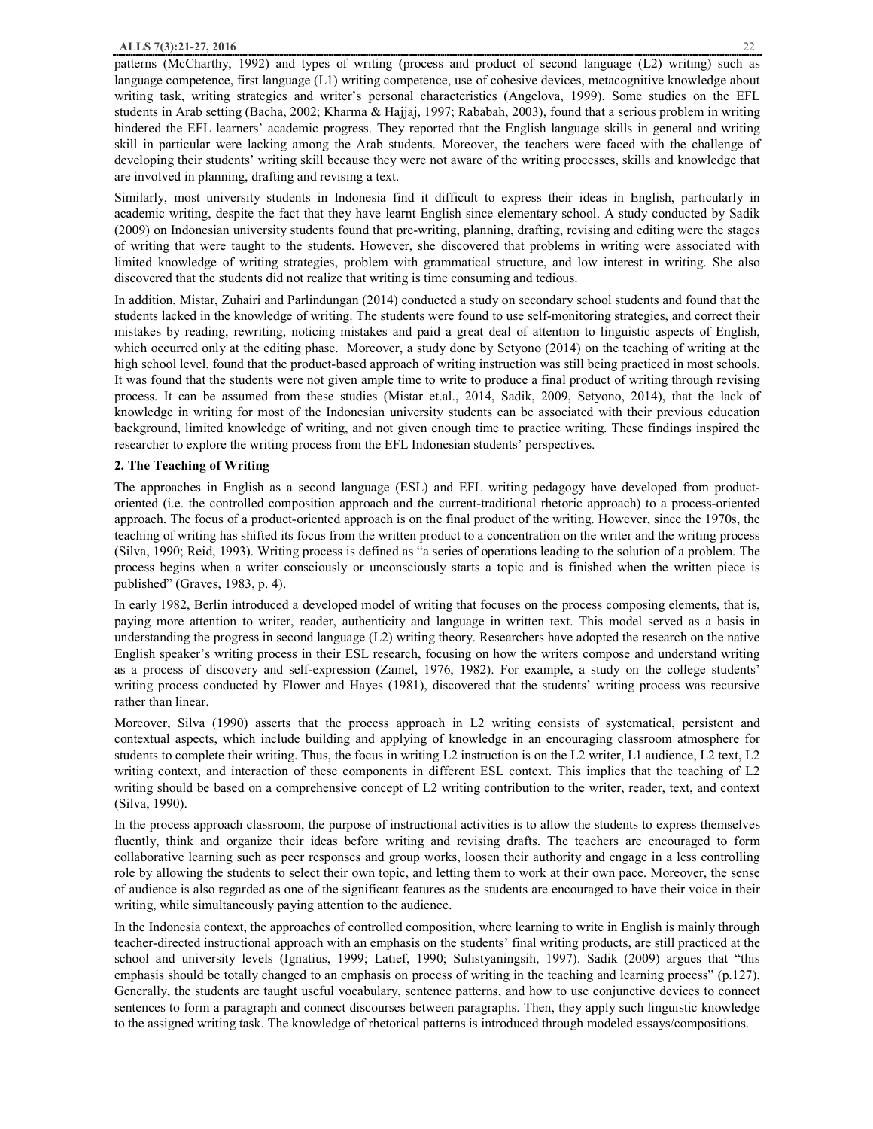patterns (McCharthy, 1992) and types of writing (process and product of second language (L2) writing) such as language competence, first language (L1) writing competence, use of cohesive devices, metacognitive knowledge about writing task, writing strategies and writer's personal characteristics (Angelova, 1999). Some studies on the EFL students in Arab setting (Bacha, 2002; Kharma & Hajjaj, 1997; Rababah, 2003), found that a serious problem in writing hindered the EFL learners' academic progress. They reported that the English language skills in general and writing skill in particular were lacking among the Arab students. Moreover, the teachers were faced with the challenge of developing their students' writing skill because they were not aware of the writing processes, skills and knowledge that are involved in planning, drafting and revising a text.

Similarly, most university students in Indonesia find it difficult to express their ideas in English, particularly in academic writing, despite the fact that they have learnt English since elementary school. A study conducted by Sadik (2009) on Indonesian university students found that pre-writing, planning, drafting, revising and editing were the stages of writing that were taught to the students. However, she discovered that problems in writing were associated with limited knowledge of writing strategies, problem with grammatical structure, and low interest in writing. She also discovered that the students did not realize that writing is time consuming and tedious.

In addition, Mistar, Zuhairi and Parlindungan (2014) conducted a study on secondary school students and found that the students lacked in the knowledge of writing. The students were found to use self-monitoring strategies, and correct their mistakes by reading, rewriting, noticing mistakes and paid a great deal of attention to linguistic aspects of English, which occurred only at the editing phase. Moreover, a study done by Setyono (2014) on the teaching of writing at the high school level, found that the product-based approach of writing instruction was still being practiced in most schools. It was found that the students were not given ample time to write to produce a final product of writing through revising process. It can be assumed from these studies (Mistar et.al., 2014, Sadik, 2009, Setyono, 2014), that the lack of knowledge in writing for most of the Indonesian university students can be associated with their previous education background, limited knowledge of writing, and not given enough time to practice writing. These findings inspired the researcher to explore the writing process from the EFL Indonesian students' perspectives.

#### **2. The Teaching of Writing**

The approaches in English as a second language (ESL) and EFL writing pedagogy have developed from productoriented (i.e. the controlled composition approach and the current-traditional rhetoric approach) to a process-oriented approach. The focus of a product-oriented approach is on the final product of the writing. However, since the 1970s, the teaching of writing has shifted its focus from the written product to a concentration on the writer and the writing process (Silva, 1990; Reid, 1993). Writing process is defined as "a series of operations leading to the solution of a problem. The process begins when a writer consciously or unconsciously starts a topic and is finished when the written piece is published" (Graves, 1983, p. 4).

In early 1982, Berlin introduced a developed model of writing that focuses on the process composing elements, that is, paying more attention to writer, reader, authenticity and language in written text. This model served as a basis in understanding the progress in second language (L2) writing theory. Researchers have adopted the research on the native English speaker's writing process in their ESL research, focusing on how the writers compose and understand writing as a process of discovery and self-expression (Zamel, 1976, 1982). For example, a study on the college students' writing process conducted by Flower and Hayes (1981), discovered that the students' writing process was recursive rather than linear.

Moreover, Silva (1990) asserts that the process approach in L2 writing consists of systematical, persistent and contextual aspects, which include building and applying of knowledge in an encouraging classroom atmosphere for students to complete their writing. Thus, the focus in writing L2 instruction is on the L2 writer, L1 audience, L2 text, L2 writing context, and interaction of these components in different ESL context. This implies that the teaching of L2 writing should be based on a comprehensive concept of L2 writing contribution to the writer, reader, text, and context (Silva, 1990).

In the process approach classroom, the purpose of instructional activities is to allow the students to express themselves fluently, think and organize their ideas before writing and revising drafts. The teachers are encouraged to form collaborative learning such as peer responses and group works, loosen their authority and engage in a less controlling role by allowing the students to select their own topic, and letting them to work at their own pace. Moreover, the sense of audience is also regarded as one of the significant features as the students are encouraged to have their voice in their writing, while simultaneously paying attention to the audience.

In the Indonesia context, the approaches of controlled composition, where learning to write in English is mainly through teacher-directed instructional approach with an emphasis on the students' final writing products, are still practiced at the school and university levels (Ignatius, 1999; Latief, 1990; Sulistyaningsih, 1997). Sadik (2009) argues that "this emphasis should be totally changed to an emphasis on process of writing in the teaching and learning process" (p.127). Generally, the students are taught useful vocabulary, sentence patterns, and how to use conjunctive devices to connect sentences to form a paragraph and connect discourses between paragraphs. Then, they apply such linguistic knowledge to the assigned writing task. The knowledge of rhetorical patterns is introduced through modeled essays/compositions.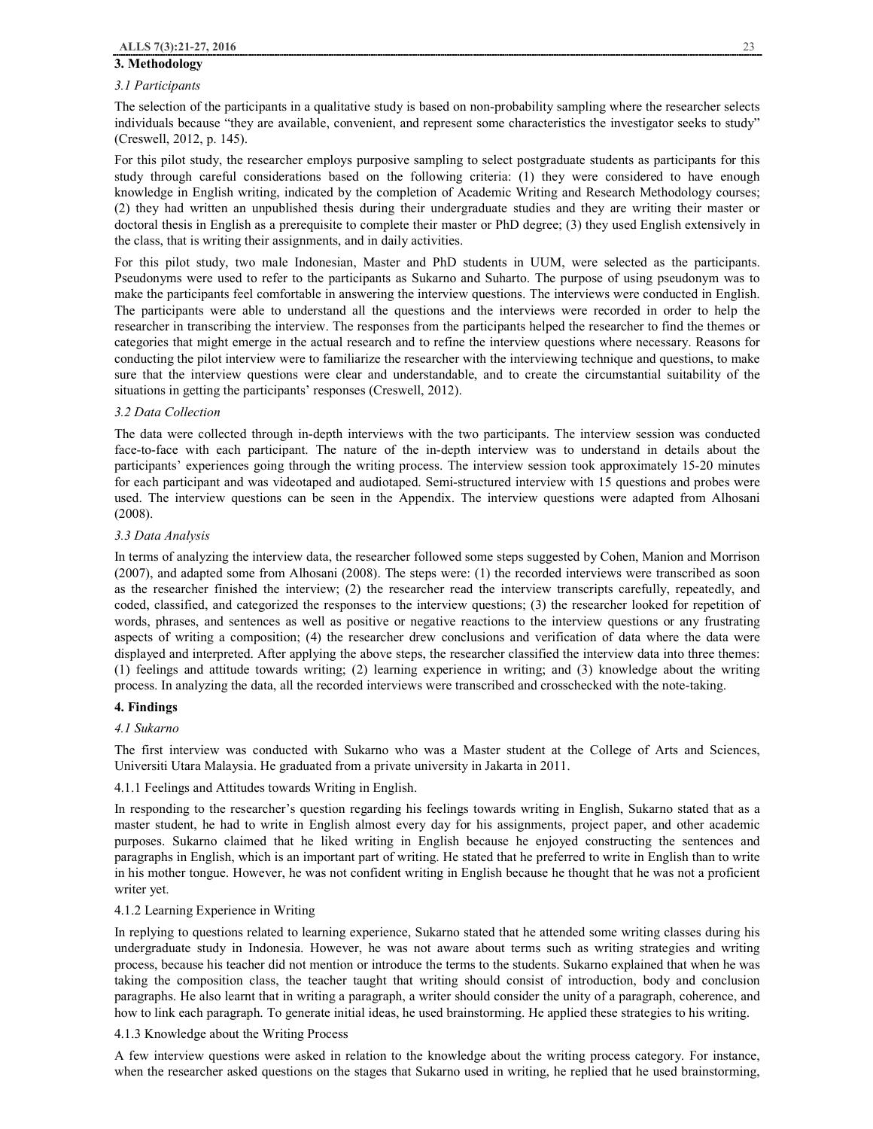#### **3. Methodology**

## *3.1 Participants*

The selection of the participants in a qualitative study is based on non-probability sampling where the researcher selects individuals because "they are available, convenient, and represent some characteristics the investigator seeks to study" (Creswell, 2012, p. 145).

For this pilot study, the researcher employs purposive sampling to select postgraduate students as participants for this study through careful considerations based on the following criteria: (1) they were considered to have enough knowledge in English writing, indicated by the completion of Academic Writing and Research Methodology courses; (2) they had written an unpublished thesis during their undergraduate studies and they are writing their master or doctoral thesis in English as a prerequisite to complete their master or PhD degree; (3) they used English extensively in the class, that is writing their assignments, and in daily activities.

For this pilot study, two male Indonesian, Master and PhD students in UUM, were selected as the participants. Pseudonyms were used to refer to the participants as Sukarno and Suharto. The purpose of using pseudonym was to make the participants feel comfortable in answering the interview questions. The interviews were conducted in English. The participants were able to understand all the questions and the interviews were recorded in order to help the researcher in transcribing the interview. The responses from the participants helped the researcher to find the themes or categories that might emerge in the actual research and to refine the interview questions where necessary. Reasons for conducting the pilot interview were to familiarize the researcher with the interviewing technique and questions, to make sure that the interview questions were clear and understandable, and to create the circumstantial suitability of the situations in getting the participants' responses (Creswell, 2012).

#### *3.2 Data Collection*

The data were collected through in-depth interviews with the two participants. The interview session was conducted face-to-face with each participant. The nature of the in-depth interview was to understand in details about the participants' experiences going through the writing process. The interview session took approximately 15-20 minutes for each participant and was videotaped and audiotaped. Semi-structured interview with 15 questions and probes were used. The interview questions can be seen in the Appendix. The interview questions were adapted from Alhosani (2008).

## *3.3 Data Analysis*

In terms of analyzing the interview data, the researcher followed some steps suggested by Cohen, Manion and Morrison (2007), and adapted some from Alhosani (2008). The steps were: (1) the recorded interviews were transcribed as soon as the researcher finished the interview; (2) the researcher read the interview transcripts carefully, repeatedly, and coded, classified, and categorized the responses to the interview questions; (3) the researcher looked for repetition of words, phrases, and sentences as well as positive or negative reactions to the interview questions or any frustrating aspects of writing a composition; (4) the researcher drew conclusions and verification of data where the data were displayed and interpreted. After applying the above steps, the researcher classified the interview data into three themes: (1) feelings and attitude towards writing; (2) learning experience in writing; and (3) knowledge about the writing process. In analyzing the data, all the recorded interviews were transcribed and crosschecked with the note-taking.

## **4. Findings**

# *4.1 Sukarno*

The first interview was conducted with Sukarno who was a Master student at the College of Arts and Sciences, Universiti Utara Malaysia. He graduated from a private university in Jakarta in 2011.

# 4.1.1 Feelings and Attitudes towards Writing in English.

In responding to the researcher's question regarding his feelings towards writing in English, Sukarno stated that as a master student, he had to write in English almost every day for his assignments, project paper, and other academic purposes. Sukarno claimed that he liked writing in English because he enjoyed constructing the sentences and paragraphs in English, which is an important part of writing. He stated that he preferred to write in English than to write in his mother tongue. However, he was not confident writing in English because he thought that he was not a proficient writer yet.

### 4.1.2 Learning Experience in Writing

In replying to questions related to learning experience, Sukarno stated that he attended some writing classes during his undergraduate study in Indonesia. However, he was not aware about terms such as writing strategies and writing process, because his teacher did not mention or introduce the terms to the students. Sukarno explained that when he was taking the composition class, the teacher taught that writing should consist of introduction, body and conclusion paragraphs. He also learnt that in writing a paragraph, a writer should consider the unity of a paragraph, coherence, and how to link each paragraph. To generate initial ideas, he used brainstorming. He applied these strategies to his writing.

# 4.1.3 Knowledge about the Writing Process

A few interview questions were asked in relation to the knowledge about the writing process category. For instance, when the researcher asked questions on the stages that Sukarno used in writing, he replied that he used brainstorming,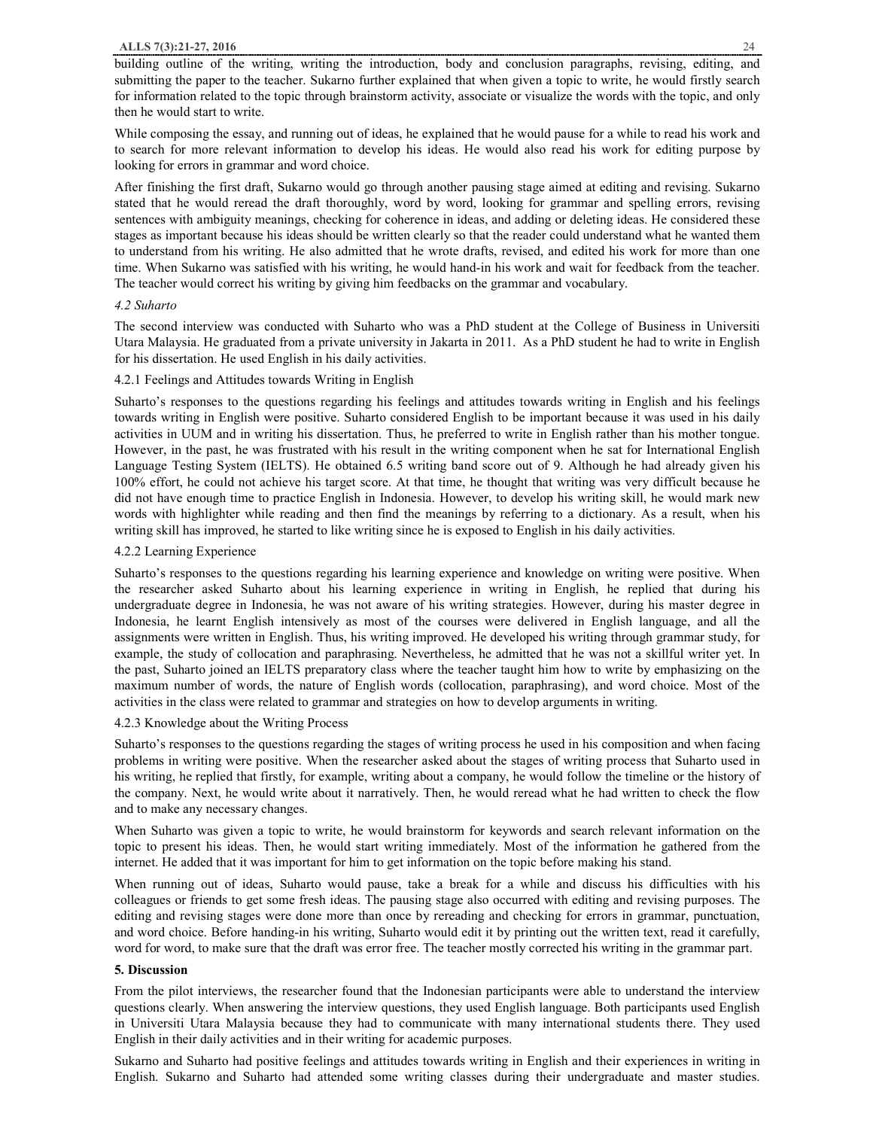building outline of the writing, writing the introduction, body and conclusion paragraphs, revising, editing, and submitting the paper to the teacher. Sukarno further explained that when given a topic to write, he would firstly search for information related to the topic through brainstorm activity, associate or visualize the words with the topic, and only then he would start to write.

While composing the essay, and running out of ideas, he explained that he would pause for a while to read his work and to search for more relevant information to develop his ideas. He would also read his work for editing purpose by looking for errors in grammar and word choice.

After finishing the first draft, Sukarno would go through another pausing stage aimed at editing and revising. Sukarno stated that he would reread the draft thoroughly, word by word, looking for grammar and spelling errors, revising sentences with ambiguity meanings, checking for coherence in ideas, and adding or deleting ideas. He considered these stages as important because his ideas should be written clearly so that the reader could understand what he wanted them to understand from his writing. He also admitted that he wrote drafts, revised, and edited his work for more than one time. When Sukarno was satisfied with his writing, he would hand-in his work and wait for feedback from the teacher. The teacher would correct his writing by giving him feedbacks on the grammar and vocabulary.

## *4.2 Suharto*

The second interview was conducted with Suharto who was a PhD student at the College of Business in Universiti Utara Malaysia. He graduated from a private university in Jakarta in 2011. As a PhD student he had to write in English for his dissertation. He used English in his daily activities.

# 4.2.1 Feelings and Attitudes towards Writing in English

Suharto's responses to the questions regarding his feelings and attitudes towards writing in English and his feelings towards writing in English were positive. Suharto considered English to be important because it was used in his daily activities in UUM and in writing his dissertation. Thus, he preferred to write in English rather than his mother tongue. However, in the past, he was frustrated with his result in the writing component when he sat for International English Language Testing System (IELTS). He obtained 6.5 writing band score out of 9. Although he had already given his 100% effort, he could not achieve his target score. At that time, he thought that writing was very difficult because he did not have enough time to practice English in Indonesia. However, to develop his writing skill, he would mark new words with highlighter while reading and then find the meanings by referring to a dictionary. As a result, when his writing skill has improved, he started to like writing since he is exposed to English in his daily activities.

#### 4.2.2 Learning Experience

Suharto's responses to the questions regarding his learning experience and knowledge on writing were positive. When the researcher asked Suharto about his learning experience in writing in English, he replied that during his undergraduate degree in Indonesia, he was not aware of his writing strategies. However, during his master degree in Indonesia, he learnt English intensively as most of the courses were delivered in English language, and all the assignments were written in English. Thus, his writing improved. He developed his writing through grammar study, for example, the study of collocation and paraphrasing. Nevertheless, he admitted that he was not a skillful writer yet. In the past, Suharto joined an IELTS preparatory class where the teacher taught him how to write by emphasizing on the maximum number of words, the nature of English words (collocation, paraphrasing), and word choice. Most of the activities in the class were related to grammar and strategies on how to develop arguments in writing.

#### 4.2.3 Knowledge about the Writing Process

Suharto's responses to the questions regarding the stages of writing process he used in his composition and when facing problems in writing were positive. When the researcher asked about the stages of writing process that Suharto used in his writing, he replied that firstly, for example, writing about a company, he would follow the timeline or the history of the company. Next, he would write about it narratively. Then, he would reread what he had written to check the flow and to make any necessary changes.

When Suharto was given a topic to write, he would brainstorm for keywords and search relevant information on the topic to present his ideas. Then, he would start writing immediately. Most of the information he gathered from the internet. He added that it was important for him to get information on the topic before making his stand.

When running out of ideas, Suharto would pause, take a break for a while and discuss his difficulties with his colleagues or friends to get some fresh ideas. The pausing stage also occurred with editing and revising purposes. The editing and revising stages were done more than once by rereading and checking for errors in grammar, punctuation, and word choice. Before handing-in his writing, Suharto would edit it by printing out the written text, read it carefully, word for word, to make sure that the draft was error free. The teacher mostly corrected his writing in the grammar part.

## **5. Discussion**

From the pilot interviews, the researcher found that the Indonesian participants were able to understand the interview questions clearly. When answering the interview questions, they used English language. Both participants used English in Universiti Utara Malaysia because they had to communicate with many international students there. They used English in their daily activities and in their writing for academic purposes.

Sukarno and Suharto had positive feelings and attitudes towards writing in English and their experiences in writing in English. Sukarno and Suharto had attended some writing classes during their undergraduate and master studies.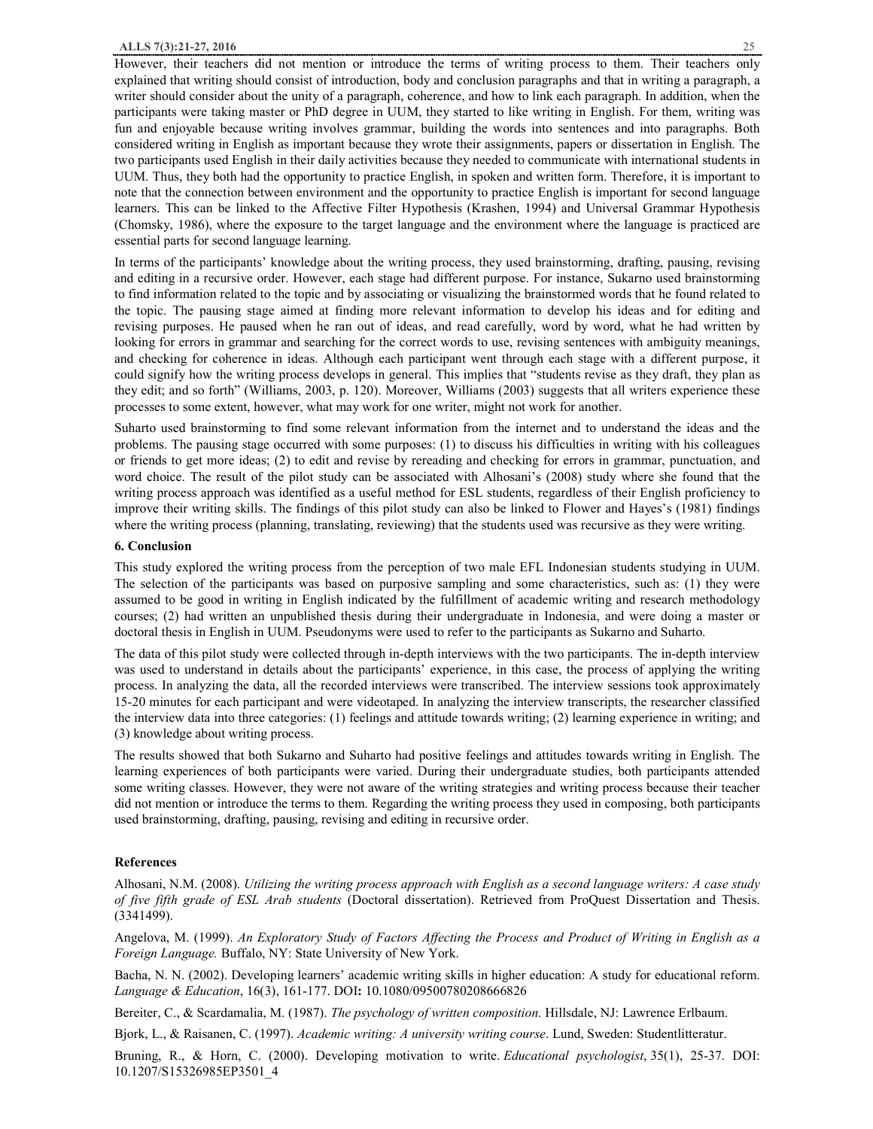However, their teachers did not mention or introduce the terms of writing process to them. Their teachers only explained that writing should consist of introduction, body and conclusion paragraphs and that in writing a paragraph, a writer should consider about the unity of a paragraph, coherence, and how to link each paragraph. In addition, when the participants were taking master or PhD degree in UUM, they started to like writing in English. For them, writing was fun and enjoyable because writing involves grammar, building the words into sentences and into paragraphs. Both considered writing in English as important because they wrote their assignments, papers or dissertation in English. The two participants used English in their daily activities because they needed to communicate with international students in UUM. Thus, they both had the opportunity to practice English, in spoken and written form. Therefore, it is important to note that the connection between environment and the opportunity to practice English is important for second language learners. This can be linked to the Affective Filter Hypothesis (Krashen, 1994) and Universal Grammar Hypothesis (Chomsky, 1986), where the exposure to the target language and the environment where the language is practiced are essential parts for second language learning.

In terms of the participants' knowledge about the writing process, they used brainstorming, drafting, pausing, revising and editing in a recursive order. However, each stage had different purpose. For instance, Sukarno used brainstorming to find information related to the topic and by associating or visualizing the brainstormed words that he found related to the topic. The pausing stage aimed at finding more relevant information to develop his ideas and for editing and revising purposes. He paused when he ran out of ideas, and read carefully, word by word, what he had written by looking for errors in grammar and searching for the correct words to use, revising sentences with ambiguity meanings, and checking for coherence in ideas. Although each participant went through each stage with a different purpose, it could signify how the writing process develops in general. This implies that "students revise as they draft, they plan as they edit; and so forth" (Williams, 2003, p. 120). Moreover, Williams (2003) suggests that all writers experience these processes to some extent, however, what may work for one writer, might not work for another.

Suharto used brainstorming to find some relevant information from the internet and to understand the ideas and the problems. The pausing stage occurred with some purposes: (1) to discuss his difficulties in writing with his colleagues or friends to get more ideas; (2) to edit and revise by rereading and checking for errors in grammar, punctuation, and word choice. The result of the pilot study can be associated with Alhosani's (2008) study where she found that the writing process approach was identified as a useful method for ESL students, regardless of their English proficiency to improve their writing skills. The findings of this pilot study can also be linked to Flower and Hayes's (1981) findings where the writing process (planning, translating, reviewing) that the students used was recursive as they were writing.

#### **6. Conclusion**

This study explored the writing process from the perception of two male EFL Indonesian students studying in UUM. The selection of the participants was based on purposive sampling and some characteristics, such as: (1) they were assumed to be good in writing in English indicated by the fulfillment of academic writing and research methodology courses; (2) had written an unpublished thesis during their undergraduate in Indonesia, and were doing a master or doctoral thesis in English in UUM. Pseudonyms were used to refer to the participants as Sukarno and Suharto.

The data of this pilot study were collected through in-depth interviews with the two participants. The in-depth interview was used to understand in details about the participants' experience, in this case, the process of applying the writing process. In analyzing the data, all the recorded interviews were transcribed. The interview sessions took approximately 15-20 minutes for each participant and were videotaped. In analyzing the interview transcripts, the researcher classified the interview data into three categories: (1) feelings and attitude towards writing; (2) learning experience in writing; and (3) knowledge about writing process.

The results showed that both Sukarno and Suharto had positive feelings and attitudes towards writing in English. The learning experiences of both participants were varied. During their undergraduate studies, both participants attended some writing classes. However, they were not aware of the writing strategies and writing process because their teacher did not mention or introduce the terms to them. Regarding the writing process they used in composing, both participants used brainstorming, drafting, pausing, revising and editing in recursive order.

## **References**

Alhosani, N.M. (2008). *Utilizing the writing process approach with English as a second language writers: A case study of five fifth grade of ESL Arab students* (Doctoral dissertation). Retrieved from ProQuest Dissertation and Thesis. (3341499).

Angelova, M. (1999). An Exploratory Study of Factors Affecting the Process and Product of Writing in English as a *Foreign Language.* Buffalo, NY: State University of New York.

Bacha, N. N. (2002). Developing learners' academic writing skills in higher education: A study for educational reform. *Language & Education*, 16(3), 161-177. DOI**:** 10.1080/09500780208666826

Bereiter, C., & Scardamalia, M. (1987). *The psychology of written composition*. Hillsdale, NJ: Lawrence Erlbaum.

Bjork, L., & Raisanen, C. (1997). *Academic writing: A university writing course*. Lund, Sweden: Studentlitteratur.

Bruning, R., & Horn, C. (2000). Developing motivation to write. *Educational psychologist*, 35(1), 25-37. DOI: 10.1207/S15326985EP3501\_4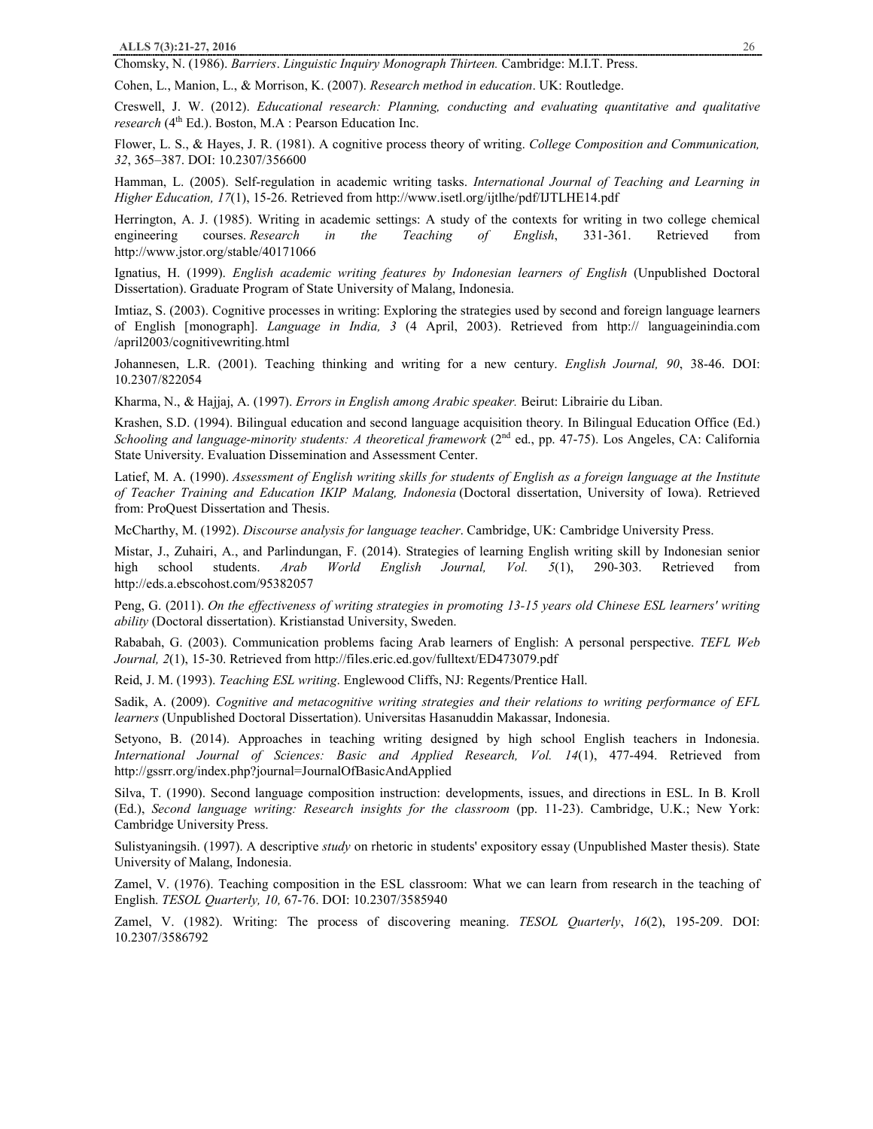Chomsky, N. (1986). *Barriers*. *Linguistic Inquiry Monograph Thirteen.* Cambridge: M.I.T. Press.

Cohen, L., Manion, L., & Morrison, K. (2007). *Research method in education*. UK: Routledge.

Creswell, J. W. (2012). *Educational research: Planning, conducting and evaluating quantitative and qualitative research* (4<sup>th</sup> Ed.). Boston, M.A : Pearson Education Inc.

Flower, L. S., & Hayes, J. R. (1981). A cognitive process theory of writing. *College Composition and Communication, 32*, 365–387. DOI: 10.2307/356600

Hamman, L. (2005). Self-regulation in academic writing tasks. *International Journal of Teaching and Learning in Higher Education, 17*(1), 15-26. Retrieved from http://www.isetl.org/ijtlhe/pdf/IJTLHE14.pdf

Herrington, A. J. (1985). Writing in academic settings: A study of the contexts for writing in two college chemical engineering courses. *Research in the Teaching of English*, 331-361. Retrieved from http://www.jstor.org/stable/40171066

Ignatius, H. (1999). *English academic writing features by Indonesian learners of English* (Unpublished Doctoral Dissertation). Graduate Program of State University of Malang, Indonesia.

Imtiaz, S. (2003). Cognitive processes in writing: Exploring the strategies used by second and foreign language learners of English [monograph]. *Language in India, 3* (4 April, 2003). Retrieved from http:// languageinindia.com /april2003/cognitivewriting.html

Johannesen, L.R. (2001). Teaching thinking and writing for a new century. *English Journal, 90*, 38-46. DOI: 10.2307/822054

Kharma, N., & Hajjaj, A. (1997). *Errors in English among Arabic speaker.* Beirut: Librairie du Liban.

Krashen, S.D. (1994). Bilingual education and second language acquisition theory. In Bilingual Education Office (Ed.) *Schooling and language-minority students: A theoretical framework* (2nd ed., pp. 47-75). Los Angeles, CA: California State University. Evaluation Dissemination and Assessment Center.

Latief, M. A. (1990). Assessment of English writing skills for students of English as a foreign language at the Institute *of Teacher Training and Education IKIP Malang, Indonesia* (Doctoral dissertation, University of Iowa). Retrieved from: ProQuest Dissertation and Thesis.

McCharthy, M. (1992). *Discourse analysis for language teacher*. Cambridge, UK: Cambridge University Press.

Mistar, J., Zuhairi, A., and Parlindungan, F. (2014). Strategies of learning English writing skill by Indonesian senior high school students. *Arab World English Journal, Vol. 5*(1), 290-303. Retrieved from http://eds.a.ebscohost.com/95382057

Peng, G. (2011). *On the effectiveness of writing strategies in promoting 13-15 years old Chinese ESL learners' writing ability* (Doctoral dissertation). Kristianstad University, Sweden.

Rababah, G. (2003). Communication problems facing Arab learners of English: A personal perspective. *TEFL Web Journal, 2*(1), 15-30. Retrieved from http://files.eric.ed.gov/fulltext/ED473079.pdf

Reid, J. M. (1993). *Teaching ESL writing*. Englewood Cliffs, NJ: Regents/Prentice Hall.

Sadik, A. (2009). *Cognitive and metacognitive writing strategies and their relations to writing performance of EFL learners* (Unpublished Doctoral Dissertation). Universitas Hasanuddin Makassar, Indonesia.

Setyono, B. (2014). Approaches in teaching writing designed by high school English teachers in Indonesia. *International Journal of Sciences: Basic and Applied Research, Vol. 14*(1), 477-494. Retrieved from http://gssrr.org/index.php?journal=JournalOfBasicAndApplied

Silva, T. (1990). Second language composition instruction: developments, issues, and directions in ESL. In B. Kroll (Ed.), *Second language writing: Research insights for the classroom* (pp. 11-23). Cambridge, U.K.; New York: Cambridge University Press.

Sulistyaningsih. (1997). A descriptive *study* on rhetoric in students' expository essay (Unpublished Master thesis). State University of Malang, Indonesia.

Zamel, V. (1976). Teaching composition in the ESL classroom: What we can learn from research in the teaching of English. *TESOL Quarterly, 10,* 67-76. DOI: 10.2307/3585940

Zamel, V. (1982). Writing: The process of discovering meaning. *TESOL Quarterly*, *16*(2), 195-209. DOI: 10.2307/3586792